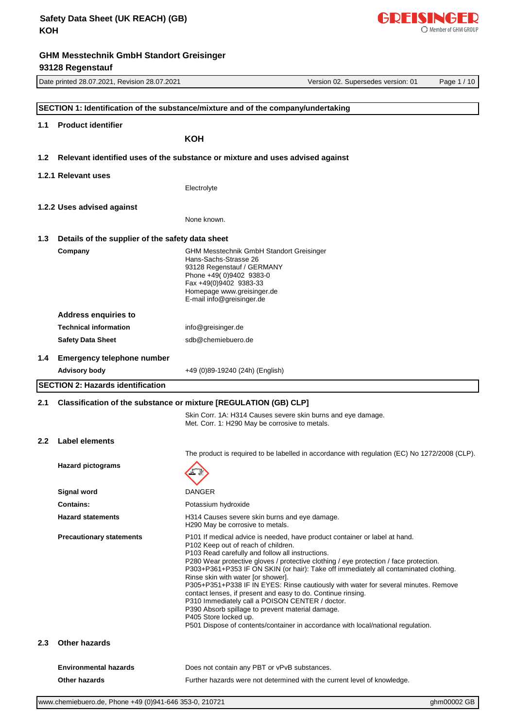|                                                                         | Date printed 28.07.2021, Revision 28.07.2021     | Version 02. Supersedes version: 01<br>Page 1 / 10                                                                                                                             |
|-------------------------------------------------------------------------|--------------------------------------------------|-------------------------------------------------------------------------------------------------------------------------------------------------------------------------------|
|                                                                         |                                                  |                                                                                                                                                                               |
|                                                                         |                                                  | SECTION 1: Identification of the substance/mixture and of the company/undertaking                                                                                             |
| 1.1                                                                     | <b>Product identifier</b>                        |                                                                                                                                                                               |
|                                                                         |                                                  | кон                                                                                                                                                                           |
| 1.2 <sub>1</sub>                                                        |                                                  | Relevant identified uses of the substance or mixture and uses advised against                                                                                                 |
|                                                                         | 1.2.1 Relevant uses                              |                                                                                                                                                                               |
|                                                                         |                                                  | Electrolyte                                                                                                                                                                   |
|                                                                         | 1.2.2 Uses advised against                       |                                                                                                                                                                               |
|                                                                         |                                                  | None known.                                                                                                                                                                   |
|                                                                         |                                                  |                                                                                                                                                                               |
| 1.3                                                                     | Details of the supplier of the safety data sheet |                                                                                                                                                                               |
|                                                                         | Company                                          | <b>GHM Messtechnik GmbH Standort Greisinger</b><br>Hans-Sachs-Strasse 26                                                                                                      |
|                                                                         |                                                  | 93128 Regenstauf / GERMANY<br>Phone +49(0)9402 9383-0                                                                                                                         |
|                                                                         |                                                  | Fax +49(0)9402 9383-33<br>Homepage www.greisinger.de                                                                                                                          |
|                                                                         |                                                  | E-mail info@greisinger.de                                                                                                                                                     |
|                                                                         | <b>Address enquiries to</b>                      |                                                                                                                                                                               |
|                                                                         | <b>Technical information</b>                     | info@greisinger.de                                                                                                                                                            |
|                                                                         | <b>Safety Data Sheet</b>                         | sdb@chemiebuero.de                                                                                                                                                            |
| 1.4                                                                     | <b>Emergency telephone number</b>                |                                                                                                                                                                               |
|                                                                         | <b>Advisory body</b>                             | +49 (0)89-19240 (24h) (English)                                                                                                                                               |
|                                                                         | <b>SECTION 2: Hazards identification</b>         |                                                                                                                                                                               |
| Classification of the substance or mixture [REGULATION (GB) CLP]<br>2.1 |                                                  |                                                                                                                                                                               |
|                                                                         |                                                  | Skin Corr. 1A: H314 Causes severe skin burns and eye damage.<br>Met. Corr. 1: H290 May be corrosive to metals.                                                                |
| 2.2 <sub>2</sub>                                                        | <b>Label elements</b>                            |                                                                                                                                                                               |
|                                                                         |                                                  | The product is required to be labelled in accordance with regulation (EC) No 1272/2008 (CLP).                                                                                 |
|                                                                         | <b>Hazard pictograms</b>                         |                                                                                                                                                                               |
|                                                                         | <b>Signal word</b>                               | <b>DANGER</b>                                                                                                                                                                 |
|                                                                         | <b>Contains:</b>                                 | Potassium hydroxide                                                                                                                                                           |
|                                                                         | <b>Hazard statements</b>                         | H314 Causes severe skin burns and eye damage.<br>H <sub>290</sub> May be corrosive to metals.                                                                                 |
|                                                                         | <b>Precautionary statements</b>                  | P101 If medical advice is needed, have product container or label at hand.                                                                                                    |
|                                                                         |                                                  | P102 Keep out of reach of children.<br>P103 Read carefully and follow all instructions.                                                                                       |
|                                                                         |                                                  | P280 Wear protective gloves / protective clothing / eye protection / face protection.<br>P303+P361+P353 IF ON SKIN (or hair): Take off immediately all contaminated clothing. |
|                                                                         |                                                  | Rinse skin with water [or shower].                                                                                                                                            |
|                                                                         |                                                  | P305+P351+P338 IF IN EYES: Rinse cautiously with water for several minutes. Remove<br>contact lenses, if present and easy to do. Continue rinsing.                            |
|                                                                         |                                                  | P310 Immediately call a POISON CENTER / doctor.<br>P390 Absorb spillage to prevent material damage.                                                                           |
|                                                                         |                                                  | P405 Store locked up.                                                                                                                                                         |
|                                                                         |                                                  | P501 Dispose of contents/container in accordance with local/national regulation.                                                                                              |
| $2.3\phantom{0}$                                                        | <b>Other hazards</b>                             |                                                                                                                                                                               |
|                                                                         | <b>Environmental hazards</b>                     | Does not contain any PBT or vPvB substances.                                                                                                                                  |
|                                                                         | <b>Other hazards</b>                             | Further hazards were not determined with the current level of knowledge.                                                                                                      |

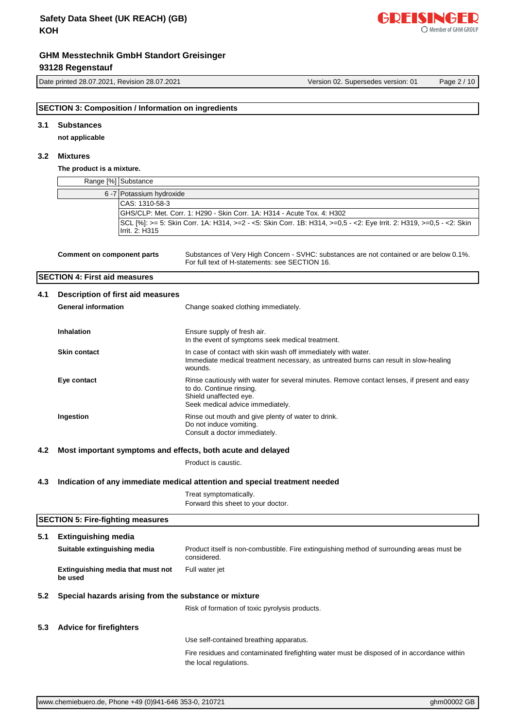Date printed 28.07.2021, Revision 28.07.2021 Version 02. Supersedes version: 01 Page 2 / 10

#### **3.1 Substances**

**not applicable**

# **3.2 Mixtures**

### **The product is a mixture.**

|                                                                                   | Range [%] Substance                                                    |                                                                                                                                                                                       |  |  |  |
|-----------------------------------------------------------------------------------|------------------------------------------------------------------------|---------------------------------------------------------------------------------------------------------------------------------------------------------------------------------------|--|--|--|
|                                                                                   | 6 -7 Potassium hydroxide                                               |                                                                                                                                                                                       |  |  |  |
|                                                                                   | CAS: 1310-58-3                                                         |                                                                                                                                                                                       |  |  |  |
|                                                                                   | GHS/CLP: Met. Corr. 1: H290 - Skin Corr. 1A: H314 - Acute Tox. 4: H302 |                                                                                                                                                                                       |  |  |  |
|                                                                                   | Irrit. 2: H315                                                         | SCL [%]: >= 5: Skin Corr. 1A: H314, >=2 - <5: Skin Corr. 1B: H314, >=0,5 - <2: Eye Irrit. 2: H319, >=0,5 - <2: Skin                                                                   |  |  |  |
|                                                                                   | <b>Comment on component parts</b>                                      | Substances of Very High Concern - SVHC: substances are not contained or are below 0.1%.<br>For full text of H-statements: see SECTION 16.                                             |  |  |  |
|                                                                                   | <b>SECTION 4: First aid measures</b>                                   |                                                                                                                                                                                       |  |  |  |
| 4.1                                                                               | Description of first aid measures                                      |                                                                                                                                                                                       |  |  |  |
|                                                                                   | <b>General information</b>                                             | Change soaked clothing immediately.                                                                                                                                                   |  |  |  |
|                                                                                   | <b>Inhalation</b>                                                      | Ensure supply of fresh air.<br>In the event of symptoms seek medical treatment.                                                                                                       |  |  |  |
|                                                                                   | <b>Skin contact</b>                                                    | In case of contact with skin wash off immediately with water.<br>Immediate medical treatment necessary, as untreated burns can result in slow-healing<br>wounds.                      |  |  |  |
|                                                                                   | Eye contact                                                            | Rinse cautiously with water for several minutes. Remove contact lenses, if present and easy<br>to do. Continue rinsing.<br>Shield unaffected eye.<br>Seek medical advice immediately. |  |  |  |
|                                                                                   | Ingestion                                                              | Rinse out mouth and give plenty of water to drink.<br>Do not induce vomiting.<br>Consult a doctor immediately.                                                                        |  |  |  |
| 4.2                                                                               | Most important symptoms and effects, both acute and delayed            |                                                                                                                                                                                       |  |  |  |
|                                                                                   |                                                                        | Product is caustic.                                                                                                                                                                   |  |  |  |
| Indication of any immediate medical attention and special treatment needed<br>4.3 |                                                                        |                                                                                                                                                                                       |  |  |  |
|                                                                                   |                                                                        | Treat symptomatically.<br>Forward this sheet to your doctor.                                                                                                                          |  |  |  |
|                                                                                   | <b>SECTION 5: Fire-fighting measures</b>                               |                                                                                                                                                                                       |  |  |  |
| 5.1                                                                               | <b>Extinguishing media</b>                                             |                                                                                                                                                                                       |  |  |  |
|                                                                                   | Suitable extinguishing media                                           | Product itself is non-combustible. Fire extinguishing method of surrounding areas must be<br>considered.                                                                              |  |  |  |
|                                                                                   | Extinguishing media that must not<br>be used                           | Full water jet                                                                                                                                                                        |  |  |  |
| 5.2                                                                               | Special hazards arising from the substance or mixture                  |                                                                                                                                                                                       |  |  |  |
|                                                                                   |                                                                        | Risk of formation of toxic pyrolysis products.                                                                                                                                        |  |  |  |
| 5.3                                                                               | <b>Advice for firefighters</b>                                         |                                                                                                                                                                                       |  |  |  |
|                                                                                   |                                                                        | Use self-contained breathing apparatus.                                                                                                                                               |  |  |  |
|                                                                                   |                                                                        | Fire residues and contaminated firefighting water must be disposed of in accordance within<br>the local regulations.                                                                  |  |  |  |

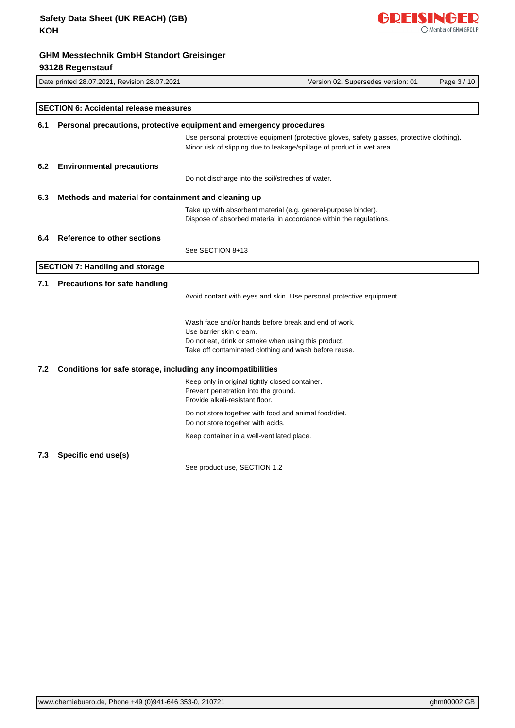

# Date printed 28.07.2021, Revision 28.07.2021 Version 02. Supersedes version: 01 Page 3 / 10 **SECTION 6: Accidental release measures 6.1 Personal precautions, protective equipment and emergency procedures** Use personal protective equipment (protective gloves, safety glasses, protective clothing). Minor risk of slipping due to leakage/spillage of product in wet area. **6.2 Environmental precautions** Do not discharge into the soil/streches of water. **6.3 Methods and material for containment and cleaning up** Take up with absorbent material (e.g. general-purpose binder). Dispose of absorbed material in accordance within the regulations. **6.4 Reference to other sections** See SECTION 8+13 **SECTION 7: Handling and storage 7.1 Precautions for safe handling** Avoid contact with eyes and skin. Use personal protective equipment. Wash face and/or hands before break and end of work. Use barrier skin cream. Do not eat, drink or smoke when using this product. Take off contaminated clothing and wash before reuse. **7.2 Conditions for safe storage, including any incompatibilities** Keep only in original tightly closed container. Prevent penetration into the ground. Provide alkali-resistant floor. Do not store together with food and animal food/diet. Do not store together with acids. Keep container in a well-ventilated place. **7.3 Specific end use(s)** See product use, SECTION 1.2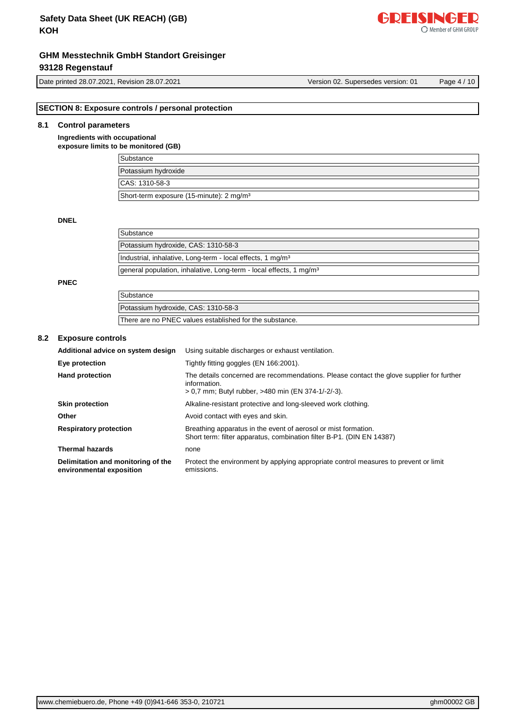# **GHM Messtechnik GmbH Standort Greisinger**

# **93128 Regenstauf**

Date printed 28.07.2021, Revision 28.07.2021 Version 02. Supersedes version: 01 Page 4 / 10

[www.chemiebuero.de](http://www.chemiebuero.de), Phone +49 (0)941-646 353-0, 210721 ghm00002 GB

### **SECTION 8: Exposure controls / personal protection**

Potassium hydroxide, CAS: 1310-58-3

There are no PNEC values established for the substance.

### **8.1 Control parameters**

**Ingredients with occupational exposure limits to be monitored (GB)**

| .<br>Substance                                       |
|------------------------------------------------------|
| Potassium hydroxide                                  |
| CAS: 1310-58-3                                       |
| Short-term exposure (15-minute): 2 mg/m <sup>3</sup> |

#### **DNEL**

| Substance                                                                      |  |
|--------------------------------------------------------------------------------|--|
| Potassium hydroxide, CAS: 1310-58-3                                            |  |
| Industrial, inhalative, Long-term - local effects, 1 mg/m <sup>3</sup>         |  |
| general population, inhalative, Long-term - local effects, 1 mg/m <sup>3</sup> |  |
|                                                                                |  |
| Substance                                                                      |  |

**PNEC**

### **8.2 Exposure controls**

| Additional advice on system design                             | Using suitable discharges or exhaust ventilation.                                                                                                              |
|----------------------------------------------------------------|----------------------------------------------------------------------------------------------------------------------------------------------------------------|
| Eye protection                                                 | Tightly fitting goggles (EN 166:2001).                                                                                                                         |
| <b>Hand protection</b>                                         | The details concerned are recommendations. Please contact the glove supplier for further<br>information.<br>> 0,7 mm; Butyl rubber, >480 min (EN 374-1/-2/-3). |
| <b>Skin protection</b>                                         | Alkaline-resistant protective and long-sleeved work clothing.                                                                                                  |
| Other                                                          | Avoid contact with eyes and skin.                                                                                                                              |
| <b>Respiratory protection</b>                                  | Breathing apparatus in the event of aerosol or mist formation.<br>Short term: filter apparatus, combination filter B-P1. (DIN EN 14387)                        |
| <b>Thermal hazards</b>                                         | none                                                                                                                                                           |
| Delimitation and monitoring of the<br>environmental exposition | Protect the environment by applying appropriate control measures to prevent or limit<br>emissions.                                                             |

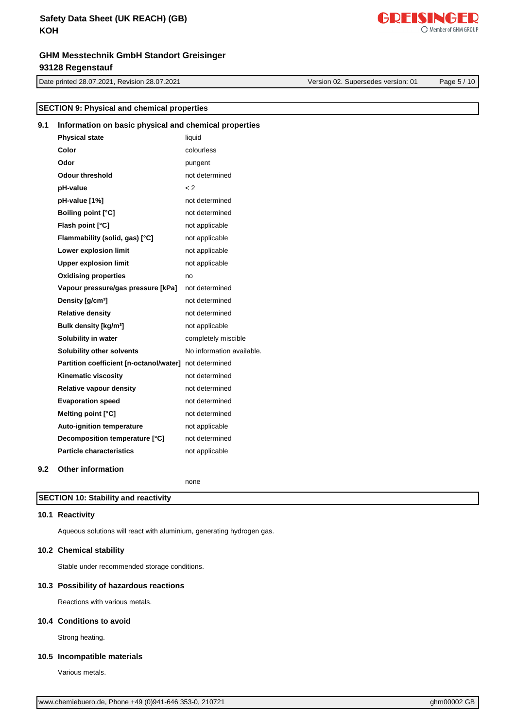# **Safety Data Sheet (UK REACH) (GB) KOH**

# **GHM Messtechnik GmbH Standort Greisinger 93128 Regenstauf**

Date printed 28.07.2021, Revision 28.07.2021 Version 02. Supersedes version: 01 Page 5 / 10

Member of GHM GROUP

GDEISINGED

|     | <b>SECTION 9: Physical and chemical properties</b>     |                           |  |  |  |
|-----|--------------------------------------------------------|---------------------------|--|--|--|
| 9.1 | Information on basic physical and chemical properties  |                           |  |  |  |
|     | <b>Physical state</b>                                  | liquid                    |  |  |  |
|     | Color                                                  | colourless                |  |  |  |
|     | Odor                                                   | pungent                   |  |  |  |
|     | <b>Odour threshold</b>                                 | not determined            |  |  |  |
|     | pH-value                                               | $\lt 2$                   |  |  |  |
|     | pH-value [1%]                                          | not determined            |  |  |  |
|     | <b>Boiling point [°C]</b>                              | not determined            |  |  |  |
|     | Flash point [°C]                                       | not applicable            |  |  |  |
|     | Flammability (solid, gas) [°C]                         | not applicable            |  |  |  |
|     | Lower explosion limit                                  | not applicable            |  |  |  |
|     | <b>Upper explosion limit</b>                           | not applicable            |  |  |  |
|     | <b>Oxidising properties</b>                            | no                        |  |  |  |
|     | Vapour pressure/gas pressure [kPa]                     | not determined            |  |  |  |
|     | Density [g/cm <sup>3</sup> ]                           | not determined            |  |  |  |
|     | <b>Relative density</b>                                | not determined            |  |  |  |
|     | Bulk density [kg/m <sup>3</sup> ]                      | not applicable            |  |  |  |
|     | Solubility in water                                    | completely miscible       |  |  |  |
|     | Solubility other solvents                              | No information available. |  |  |  |
|     | Partition coefficient [n-octanol/water] not determined |                           |  |  |  |
|     | Kinematic viscosity                                    | not determined            |  |  |  |
|     | <b>Relative vapour density</b>                         | not determined            |  |  |  |
|     | <b>Evaporation speed</b>                               | not determined            |  |  |  |
|     | Melting point [°C]                                     | not determined            |  |  |  |
|     | <b>Auto-ignition temperature</b>                       | not applicable            |  |  |  |
|     | Decomposition temperature [°C]                         | not determined            |  |  |  |
|     | <b>Particle characteristics</b>                        | not applicable            |  |  |  |

### **9.2 Other information**

none

# **SECTION 10: Stability and reactivity**

### **10.1 Reactivity**

Aqueous solutions will react with aluminium, generating hydrogen gas.

#### **10.2 Chemical stability**

Stable under recommended storage conditions.

### **10.3 Possibility of hazardous reactions**

Reactions with various metals.

#### **10.4 Conditions to avoid**

Strong heating.

### **10.5 Incompatible materials**

Various metals.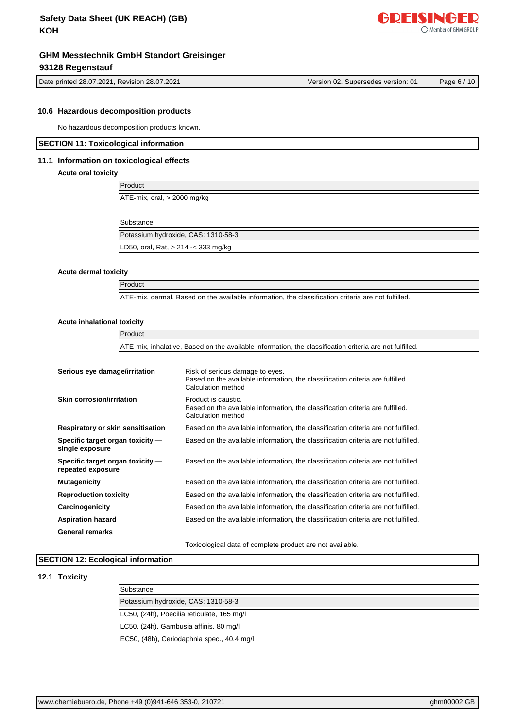

Date printed 28.07.2021, Revision 28.07.2021 Version 02. Supersedes version: 01 Page 6 / 10

#### **10.6 Hazardous decomposition products**

No hazardous decomposition products known.

#### **SECTION 11: Toxicological information**

#### **11.1 Information on toxicological effects**

#### **Acute oral toxicity**

| Product                              |  |
|--------------------------------------|--|
| $ATE-mix$ , oral, $> 2000$ mg/kg     |  |
|                                      |  |
| Substance                            |  |
| Potassium hydroxide, CAS: 1310-58-3  |  |
| LD50, oral, Rat, $> 214 - 333$ mg/kg |  |

#### **Acute dermal toxicity**

Product ATE-mix, dermal, Based on the available information, the classification criteria are not fulfilled.

### **Acute inhalational toxicity**

|                                                       | Product |                                                                                                                                         |  |  |
|-------------------------------------------------------|---------|-----------------------------------------------------------------------------------------------------------------------------------------|--|--|
|                                                       |         | ATE-mix, inhalative, Based on the available information, the classification criteria are not fulfilled.                                 |  |  |
|                                                       |         |                                                                                                                                         |  |  |
| Serious eye damage/irritation                         |         | Risk of serious damage to eyes.<br>Based on the available information, the classification criteria are fulfilled.<br>Calculation method |  |  |
| Skin corrosion/irritation                             |         | Product is caustic.<br>Based on the available information, the classification criteria are fulfilled.<br>Calculation method             |  |  |
| Respiratory or skin sensitisation                     |         | Based on the available information, the classification criteria are not fulfilled.                                                      |  |  |
| Specific target organ toxicity -<br>single exposure   |         | Based on the available information, the classification criteria are not fulfilled.                                                      |  |  |
| Specific target organ toxicity -<br>repeated exposure |         | Based on the available information, the classification criteria are not fulfilled.                                                      |  |  |
| <b>Mutagenicity</b>                                   |         | Based on the available information, the classification criteria are not fulfilled.                                                      |  |  |
| <b>Reproduction toxicity</b>                          |         | Based on the available information, the classification criteria are not fulfilled.                                                      |  |  |
| Carcinogenicity                                       |         | Based on the available information, the classification criteria are not fulfilled.                                                      |  |  |
| <b>Aspiration hazard</b>                              |         | Based on the available information, the classification criteria are not fulfilled.                                                      |  |  |
| <b>General remarks</b>                                |         |                                                                                                                                         |  |  |
|                                                       |         | Toxicological data of complete product are not available.                                                                               |  |  |

### **SECTION 12: Ecological information**

#### **12.1 Toxicity**

| Substance                                  |
|--------------------------------------------|
| Potassium hydroxide, CAS: 1310-58-3        |
| LC50, (24h), Poecilia reticulate, 165 mg/l |
| LC50, (24h), Gambusia affinis, 80 mg/l     |
| EC50, (48h), Ceriodaphnia spec., 40,4 mg/l |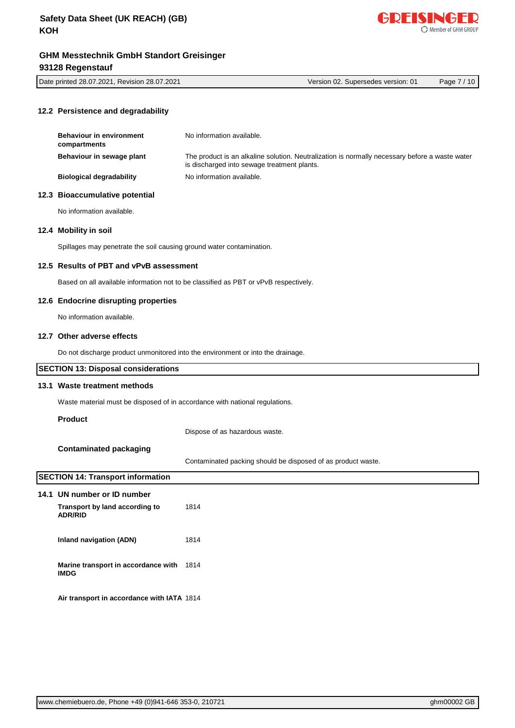

| Date printed 28.07.2021, Revision 28.07.2021 | Version 02. Supersedes version: 01 | 10<br>Page |
|----------------------------------------------|------------------------------------|------------|
|                                              |                                    |            |

## **12.2 Persistence and degradability**

| <b>Behaviour in environment</b><br>compartments | No information available.                                                                                                                     |
|-------------------------------------------------|-----------------------------------------------------------------------------------------------------------------------------------------------|
| Behaviour in sewage plant                       | The product is an alkaline solution. Neutralization is normally necessary before a waste water<br>is discharged into sewage treatment plants. |
| <b>Biological degradability</b>                 | No information available.                                                                                                                     |

### **12.3 Bioaccumulative potential**

No information available.

#### **12.4 Mobility in soil**

Spillages may penetrate the soil causing ground water contamination.

#### **12.5 Results of PBT and vPvB assessment**

Based on all available information not to be classified as PBT or vPvB respectively.

#### **12.6 Endocrine disrupting properties**

No information available.

# **12.7 Other adverse effects**

Do not discharge product unmonitored into the environment or into the drainage.

#### **SECTION 13: Disposal considerations**

#### **13.1 Waste treatment methods**

Waste material must be disposed of in accordance with national regulations.

#### **Product**

Dispose of as hazardous waste.

### **Contaminated packaging**

Contaminated packing should be disposed of as product waste.

# **SECTION 14: Transport information**

| 14.1 UN number or ID number                        |      |
|----------------------------------------------------|------|
| Transport by land according to<br><b>ADR/RID</b>   | 1814 |
| Inland navigation (ADN)                            | 1814 |
| Marine transport in accordance with<br><b>IMDG</b> | 1814 |
| Air transport in accordance with IATA 1814         |      |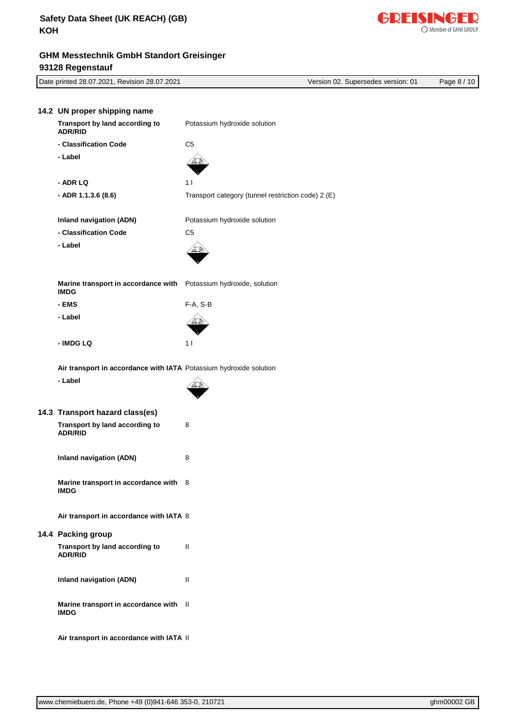| Date printed 28.07.2021, Revision 28.07.2021                       | Version 02. Supersedes version: 01                 | Page 8 / 10 |
|--------------------------------------------------------------------|----------------------------------------------------|-------------|
|                                                                    |                                                    |             |
| 14.2 UN proper shipping name                                       |                                                    |             |
| Transport by land according to<br><b>ADR/RID</b>                   | Potassium hydroxide solution                       |             |
| - Classification Code                                              | C <sub>5</sub>                                     |             |
| - Label                                                            |                                                    |             |
| - ADR LQ                                                           | 1 <sub>1</sub>                                     |             |
| - ADR 1.1.3.6 (8.6)                                                | Transport category (tunnel restriction code) 2 (E) |             |
| <b>Inland navigation (ADN)</b>                                     | Potassium hydroxide solution                       |             |
| - Classification Code                                              | C <sub>5</sub>                                     |             |
| - Label                                                            |                                                    |             |
| Marine transport in accordance with<br><b>IMDG</b>                 | Potassium hydroxide, solution                      |             |
| - EMS                                                              | F-A, S-B                                           |             |
| - Label                                                            |                                                    |             |
| - IMDG LQ                                                          | 1 <sup>1</sup>                                     |             |
| Air transport in accordance with IATA Potassium hydroxide solution |                                                    |             |
| - Label                                                            |                                                    |             |
| 14.3 Transport hazard class(es)                                    |                                                    |             |
| Transport by land according to<br><b>ADR/RID</b>                   | 8                                                  |             |
| <b>Inland navigation (ADN)</b>                                     | 8                                                  |             |
| Marine transport in accordance with 8<br><b>IMDG</b>               |                                                    |             |
| Air transport in accordance with IATA 8                            |                                                    |             |
| 14.4 Packing group                                                 |                                                    |             |
| Transport by land according to<br><b>ADR/RID</b>                   | $\mathbf{H}$                                       |             |
| <b>Inland navigation (ADN)</b>                                     | $\mathbf{H}$                                       |             |
| Marine transport in accordance with II<br><b>IMDG</b>              |                                                    |             |
| Air transport in accordance with IATA II                           |                                                    |             |

[www.chemiebuero.de](http://www.chemiebuero.de), Phone +49 (0)941-646 353-0, 210721 ghm00002 GB

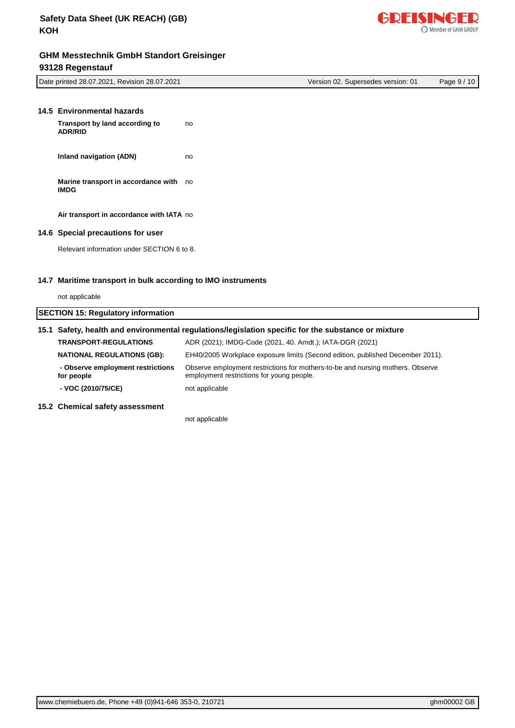

| Date printed 28.07.2021, Revision 28.07.2021 |                                          | Version 02. Supersedes version: 01 |  | Page 9/10 |  |
|----------------------------------------------|------------------------------------------|------------------------------------|--|-----------|--|
| 14.5 Environmental hazards                   |                                          |                                    |  |           |  |
| <b>ADR/RID</b>                               | Transport by land according to           | no                                 |  |           |  |
|                                              | <b>Inland navigation (ADN)</b>           | no                                 |  |           |  |
| <b>IMDG</b>                                  | Marine transport in accordance with no   |                                    |  |           |  |
|                                              | Air transport in accordance with IATA no |                                    |  |           |  |
|                                              | 440 Cussial unsequitang for user         |                                    |  |           |  |

**14.6 Special precautions for user**

Relevant information under SECTION 6 to 8.

# **14.7 Maritime transport in bulk according to IMO instruments**

| not applicable                                  |                                                                                                                             |  |  |
|-------------------------------------------------|-----------------------------------------------------------------------------------------------------------------------------|--|--|
| <b>SECTION 15: Regulatory information</b>       |                                                                                                                             |  |  |
|                                                 | 15.1 Safety, health and environmental regulations/legislation specific for the substance or mixture                         |  |  |
| <b>TRANSPORT-REGULATIONS</b>                    | ADR (2021); IMDG-Code (2021, 40. Amdt.); IATA-DGR (2021)                                                                    |  |  |
| <b>NATIONAL REGULATIONS (GB):</b>               | EH40/2005 Workplace exposure limits (Second edition, published December 2011).                                              |  |  |
| - Observe employment restrictions<br>for people | Observe employment restrictions for mothers-to-be and nursing mothers. Observe<br>employment restrictions for young people. |  |  |
| - VOC (2010/75/CE)                              | not applicable                                                                                                              |  |  |
| 15.2 Chemical safety assessment                 |                                                                                                                             |  |  |

not applicable